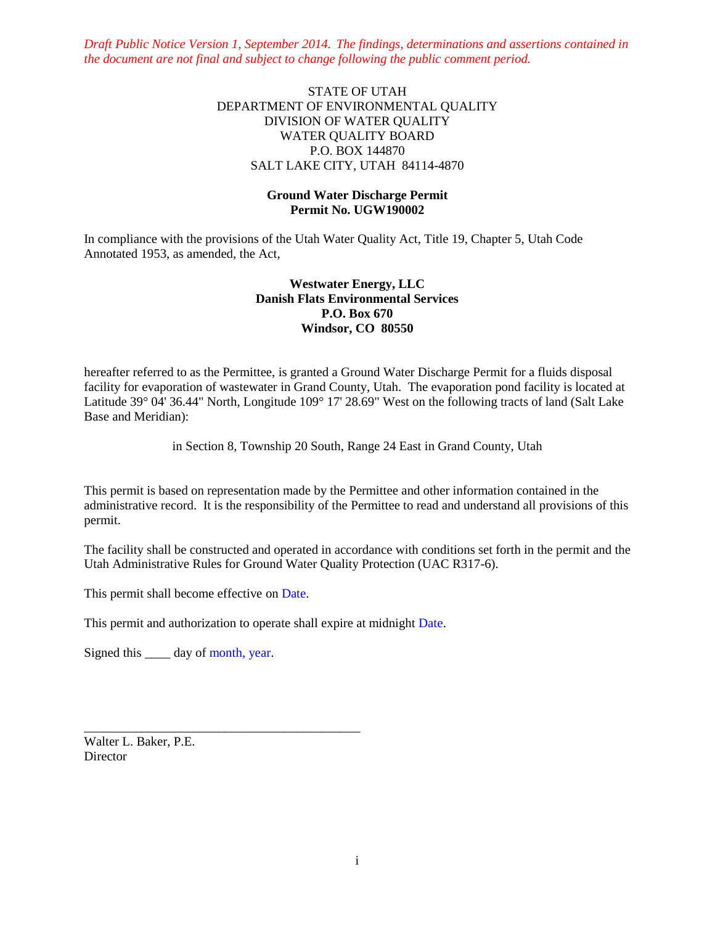*Draft Public Notice Version 1, September 2014. The findings, determinations and assertions contained in the document are not final and subject to change following the public comment period.*

## STATE OF UTAH DEPARTMENT OF ENVIRONMENTAL QUALITY DIVISION OF WATER QUALITY WATER QUALITY BOARD P.O. BOX 144870 SALT LAKE CITY, UTAH 84114-4870

### **Ground Water Discharge Permit Permit No. UGW190002**

In compliance with the provisions of the Utah Water Quality Act, Title 19, Chapter 5, Utah Code Annotated 1953, as amended, the Act,

## **Westwater Energy, LLC Danish Flats Environmental Services P.O. Box 670 Windsor, CO 80550**

hereafter referred to as the Permittee, is granted a Ground Water Discharge Permit for a fluids disposal facility for evaporation of wastewater in Grand County, Utah. The evaporation pond facility is located at Latitude 39° 04' 36.44" North, Longitude 109° 17' 28.69" West on the following tracts of land (Salt Lake Base and Meridian):

in Section 8, Township 20 South, Range 24 East in Grand County, Utah

This permit is based on representation made by the Permittee and other information contained in the administrative record. It is the responsibility of the Permittee to read and understand all provisions of this permit.

The facility shall be constructed and operated in accordance with conditions set forth in the permit and the Utah Administrative Rules for Ground Water Quality Protection (UAC R317-6).

This permit shall become effective on Date.

\_\_\_\_\_\_\_\_\_\_\_\_\_\_\_\_\_\_\_\_\_\_\_\_\_\_\_\_\_\_\_\_\_\_\_\_\_\_\_\_\_\_\_

This permit and authorization to operate shall expire at midnight Date.

Signed this day of month, year.

Walter L. Baker, P.E. **Director**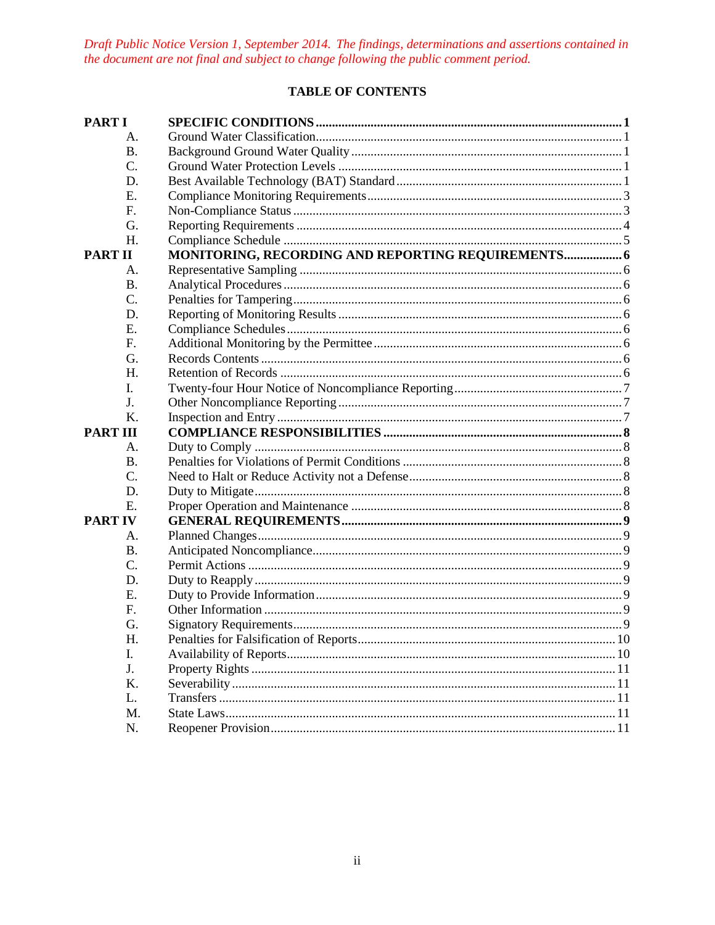Draft Public Notice Version 1, September 2014. The findings, determinations and assertions contained in the document are not final and subject to change following the public comment period.

# **TABLE OF CONTENTS**

| <b>PART I</b>   |                                                    |  |
|-----------------|----------------------------------------------------|--|
| A.              |                                                    |  |
| <b>B.</b>       |                                                    |  |
| C.              |                                                    |  |
| D.              |                                                    |  |
| E.              |                                                    |  |
| F.              |                                                    |  |
| G.              |                                                    |  |
| H.              |                                                    |  |
| <b>PART II</b>  | MONITORING, RECORDING AND REPORTING REQUIREMENTS 6 |  |
| А.              |                                                    |  |
| <b>B.</b>       |                                                    |  |
| C.              |                                                    |  |
| D.              |                                                    |  |
| E.              |                                                    |  |
| F.              |                                                    |  |
| G.              |                                                    |  |
| H.              |                                                    |  |
| I.              |                                                    |  |
| J.              |                                                    |  |
| K.              |                                                    |  |
| <b>PART III</b> |                                                    |  |
|                 |                                                    |  |
| А.              |                                                    |  |
| <b>B.</b>       |                                                    |  |
| $\mathcal{C}$ . |                                                    |  |
| D.              |                                                    |  |
| E.              |                                                    |  |
| <b>PART IV</b>  |                                                    |  |
| А.              |                                                    |  |
| <b>B.</b>       |                                                    |  |
| C.              |                                                    |  |
| D.              |                                                    |  |
| E.              |                                                    |  |
| F.              |                                                    |  |
| G.              |                                                    |  |
| Η.              |                                                    |  |
| I.              |                                                    |  |
| J.              |                                                    |  |
| K.              |                                                    |  |
| L.              |                                                    |  |
| M.              |                                                    |  |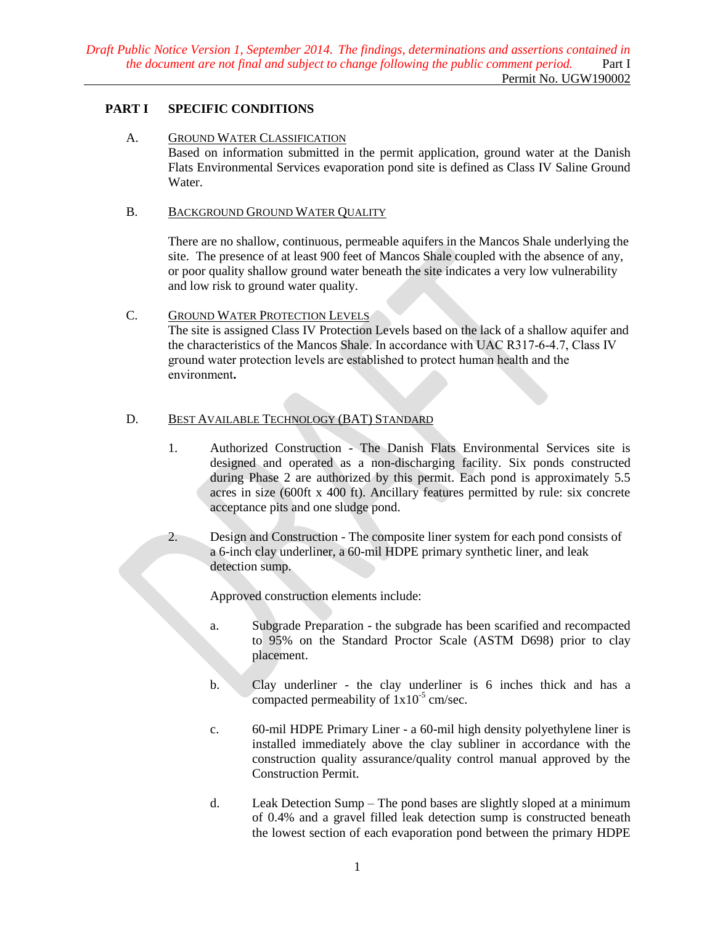# <span id="page-2-1"></span><span id="page-2-0"></span>**PART I SPECIFIC CONDITIONS**

#### A. GROUND WATER CLASSIFICATION

Based on information submitted in the permit application, ground water at the Danish Flats Environmental Services evaporation pond site is defined as Class IV Saline Ground Water.

### <span id="page-2-2"></span>B. BACKGROUND GROUND WATER QUALITY

There are no shallow, continuous, permeable aquifers in the Mancos Shale underlying the site. The presence of at least 900 feet of Mancos Shale coupled with the absence of any, or poor quality shallow ground water beneath the site indicates a very low vulnerability and low risk to ground water quality.

## <span id="page-2-3"></span>C. GROUND WATER PROTECTION LEVELS

The site is assigned Class IV Protection Levels based on the lack of a shallow aquifer and the characteristics of the Mancos Shale. In accordance with UAC R317-6-4.7, Class IV ground water protection levels are established to protect human health and the environment**.** 

# <span id="page-2-4"></span>D. BEST AVAILABLE TECHNOLOGY (BAT) STANDARD

- 1. Authorized Construction The Danish Flats Environmental Services site is designed and operated as a non-discharging facility. Six ponds constructed during Phase 2 are authorized by this permit. Each pond is approximately 5.5 acres in size (600ft x 400 ft). Ancillary features permitted by rule: six concrete acceptance pits and one sludge pond.
- 2. Design and Construction The composite liner system for each pond consists of a 6-inch clay underliner, a 60-mil HDPE primary synthetic liner, and leak detection sump.

Approved construction elements include:

- a. Subgrade Preparation the subgrade has been scarified and recompacted to 95% on the Standard Proctor Scale (ASTM D698) prior to clay placement.
- b. Clay underliner the clay underliner is 6 inches thick and has a compacted permeability of  $1x10^{-5}$  cm/sec.
- c. 60-mil HDPE Primary Liner a 60-mil high density polyethylene liner is installed immediately above the clay subliner in accordance with the construction quality assurance/quality control manual approved by the Construction Permit.
- d. Leak Detection Sump The pond bases are slightly sloped at a minimum of 0.4% and a gravel filled leak detection sump is constructed beneath the lowest section of each evaporation pond between the primary HDPE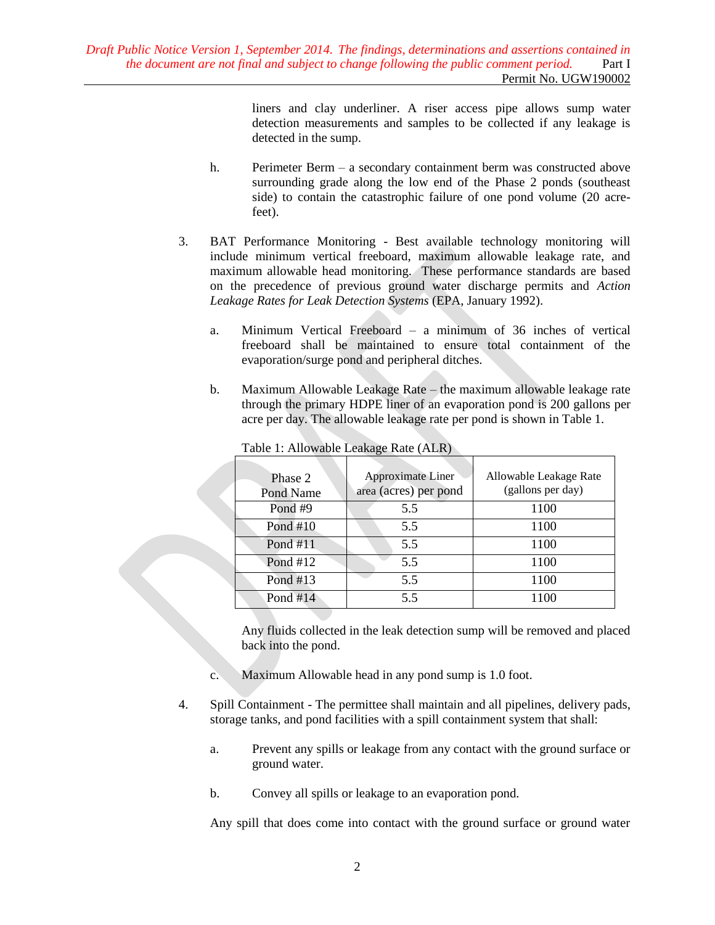liners and clay underliner. A riser access pipe allows sump water detection measurements and samples to be collected if any leakage is detected in the sump.

- h. Perimeter Berm a secondary containment berm was constructed above surrounding grade along the low end of the Phase 2 ponds (southeast side) to contain the catastrophic failure of one pond volume (20 acrefeet).
- 3. BAT Performance Monitoring Best available technology monitoring will include minimum vertical freeboard, maximum allowable leakage rate, and maximum allowable head monitoring. These performance standards are based on the precedence of previous ground water discharge permits and *Action Leakage Rates for Leak Detection Systems* (EPA, January 1992).
	- a. Minimum Vertical Freeboard a minimum of 36 inches of vertical freeboard shall be maintained to ensure total containment of the evaporation/surge pond and peripheral ditches.
	- b. Maximum Allowable Leakage Rate the maximum allowable leakage rate through the primary HDPE liner of an evaporation pond is 200 gallons per acre per day. The allowable leakage rate per pond is shown in Table 1.

| Phase 2<br>Pond Name | Approximate Liner<br>area (acres) per pond | Allowable Leakage Rate<br>(gallons per day) |
|----------------------|--------------------------------------------|---------------------------------------------|
| Pond #9              | 5.5                                        | 1100                                        |
| Pond $#10$           | 5.5                                        | 1100                                        |
| Pond #11             | 5.5                                        | 1100                                        |
| Pond $#12$           | 5.5                                        | 1100                                        |
| Pond #13             | 5.5                                        | 1100                                        |
| Pond $#14$           | 5.5                                        | 1100                                        |

Table 1: Allowable Leakage Rate (ALR)

Any fluids collected in the leak detection sump will be removed and placed back into the pond.

- c. Maximum Allowable head in any pond sump is 1.0 foot.
- 4. Spill Containment The permittee shall maintain and all pipelines, delivery pads, storage tanks, and pond facilities with a spill containment system that shall:
	- a. Prevent any spills or leakage from any contact with the ground surface or ground water.
	- b. Convey all spills or leakage to an evaporation pond.

Any spill that does come into contact with the ground surface or ground water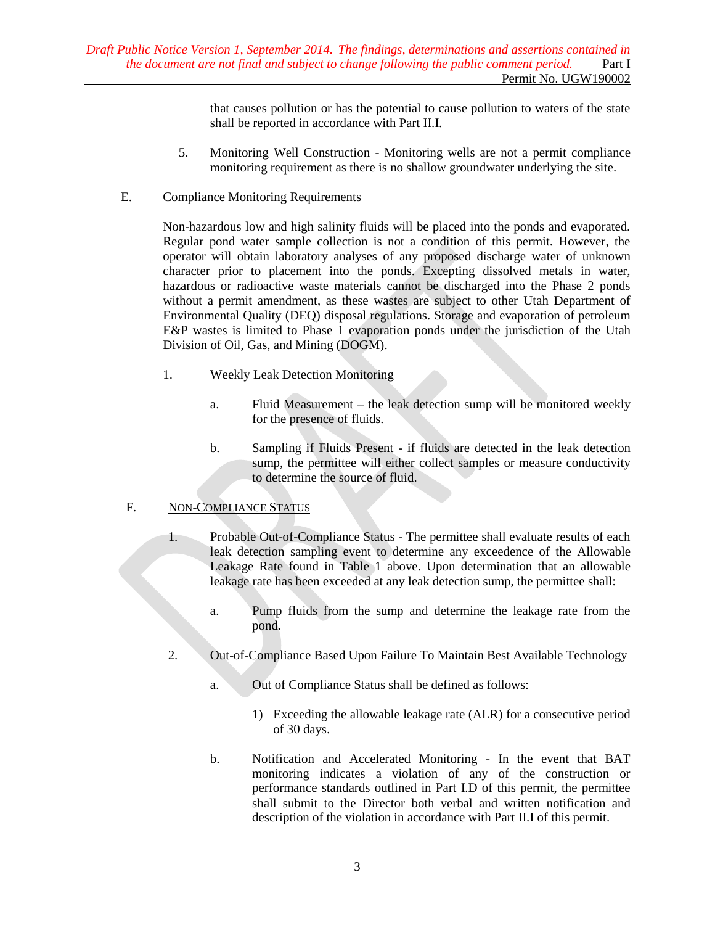that causes pollution or has the potential to cause pollution to waters of the state shall be reported in accordance with Part II.I.

- 5. Monitoring Well Construction Monitoring wells are not a permit compliance monitoring requirement as there is no shallow groundwater underlying the site.
- <span id="page-4-0"></span>E. Compliance Monitoring Requirements

Non-hazardous low and high salinity fluids will be placed into the ponds and evaporated. Regular pond water sample collection is not a condition of this permit. However, the operator will obtain laboratory analyses of any proposed discharge water of unknown character prior to placement into the ponds. Excepting dissolved metals in water, hazardous or radioactive waste materials cannot be discharged into the Phase 2 ponds without a permit amendment, as these wastes are subject to other Utah Department of Environmental Quality (DEQ) disposal regulations. Storage and evaporation of petroleum E&P wastes is limited to Phase 1 evaporation ponds under the jurisdiction of the Utah Division of Oil, Gas, and Mining (DOGM).

- 1. Weekly Leak Detection Monitoring
	- a. Fluid Measurement the leak detection sump will be monitored weekly for the presence of fluids.
	- b. Sampling if Fluids Present if fluids are detected in the leak detection sump, the permittee will either collect samples or measure conductivity to determine the source of fluid.

## <span id="page-4-1"></span>F. NON-COMPLIANCE STATUS

- 1. Probable Out-of-Compliance Status The permittee shall evaluate results of each leak detection sampling event to determine any exceedence of the Allowable Leakage Rate found in Table 1 above. Upon determination that an allowable leakage rate has been exceeded at any leak detection sump, the permittee shall:
	- a. Pump fluids from the sump and determine the leakage rate from the pond.
- 2. Out-of-Compliance Based Upon Failure To Maintain Best Available Technology
	- a. Out of Compliance Status shall be defined as follows:
		- 1) Exceeding the allowable leakage rate (ALR) for a consecutive period of 30 days.
	- b. Notification and Accelerated Monitoring In the event that BAT monitoring indicates a violation of any of the construction or performance standards outlined in Part I.D of this permit, the permittee shall submit to the Director both verbal and written notification and description of the violation in accordance with Part II.I of this permit.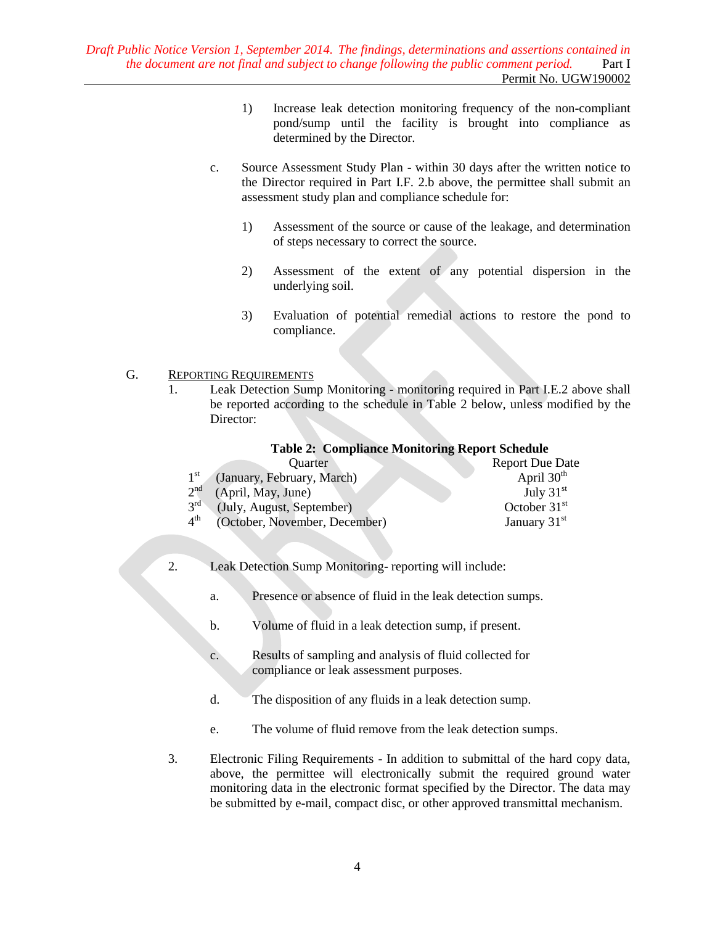- 1) Increase leak detection monitoring frequency of the non-compliant pond/sump until the facility is brought into compliance as determined by the Director.
- c. Source Assessment Study Plan within 30 days after the written notice to the Director required in Part I.F. 2.b above, the permittee shall submit an assessment study plan and compliance schedule for:
	- 1) Assessment of the source or cause of the leakage, and determination of steps necessary to correct the source.
	- 2) Assessment of the extent of any potential dispersion in the underlying soil.
	- 3) Evaluation of potential remedial actions to restore the pond to compliance.

#### <span id="page-5-0"></span>G. REPORTING REQUIREMENTS

1. Leak Detection Sump Monitoring - monitoring required in Part I.E.2 above shall be reported according to the schedule in Table 2 below, unless modified by the Director:

### **Table 2: Compliance Monitoring Report Schedule**

| <b>Ouarter</b>                                   | <b>Report Due Date</b> |
|--------------------------------------------------|------------------------|
| $1^{\rm st}$<br>(January, February, March)       | April $30th$           |
| 2 <sup>nd</sup><br>(April, May, June)            | July $31st$            |
| $3^{\text{rd}}$<br>(July, August, September)     | October $31st$         |
| $4^{\text{th}}$<br>(October, November, December) | January $31st$         |

- 2. Leak Detection Sump Monitoring- reporting will include:
	- a. Presence or absence of fluid in the leak detection sumps.
	- b. Volume of fluid in a leak detection sump, if present.
	- c. Results of sampling and analysis of fluid collected for compliance or leak assessment purposes.
	- d. The disposition of any fluids in a leak detection sump.
	- e. The volume of fluid remove from the leak detection sumps.
- 3. Electronic Filing Requirements In addition to submittal of the hard copy data, above, the permittee will electronically submit the required ground water monitoring data in the electronic format specified by the Director. The data may be submitted by e-mail, compact disc, or other approved transmittal mechanism.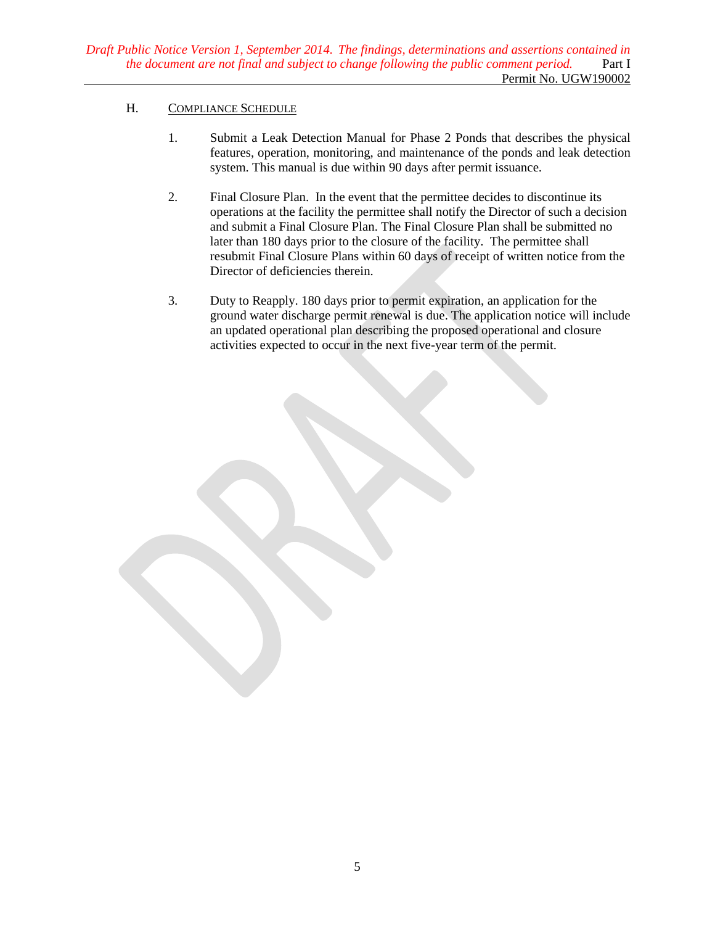## <span id="page-6-0"></span>H. COMPLIANCE SCHEDULE

- 1. Submit a Leak Detection Manual for Phase 2 Ponds that describes the physical features, operation, monitoring, and maintenance of the ponds and leak detection system. This manual is due within 90 days after permit issuance.
- 2. Final Closure Plan. In the event that the permittee decides to discontinue its operations at the facility the permittee shall notify the Director of such a decision and submit a Final Closure Plan. The Final Closure Plan shall be submitted no later than 180 days prior to the closure of the facility. The permittee shall resubmit Final Closure Plans within 60 days of receipt of written notice from the Director of deficiencies therein.
- 3. Duty to Reapply. 180 days prior to permit expiration, an application for the ground water discharge permit renewal is due. The application notice will include an updated operational plan describing the proposed operational and closure activities expected to occur in the next five-year term of the permit.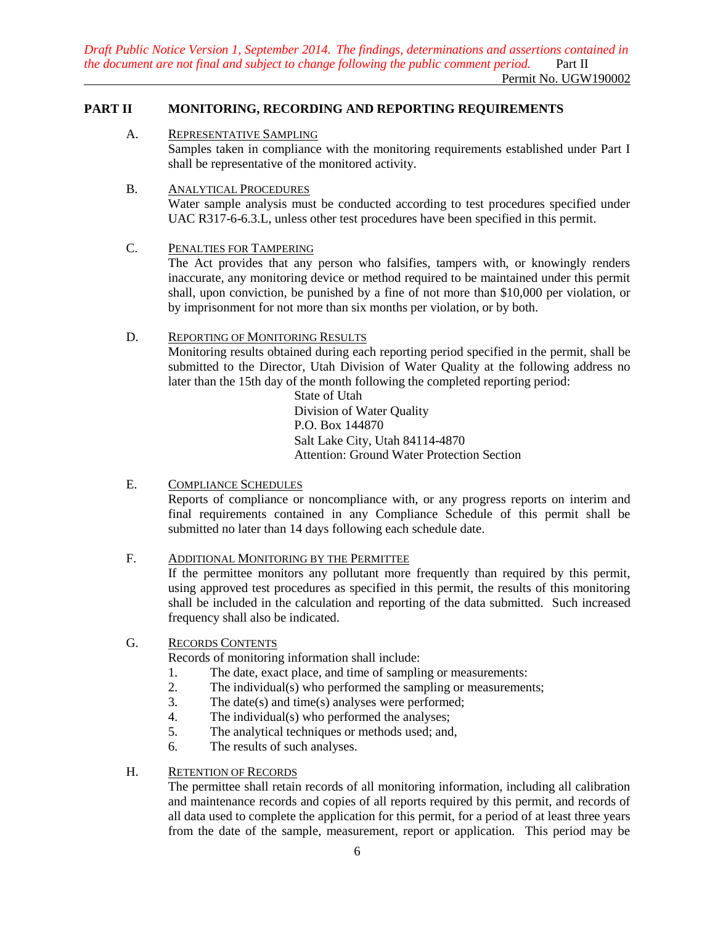*Draft Public Notice Version 1, September 2014. The findings, determinations and assertions contained in the document are not final and subject to change following the public comment period.* Part II

### Permit No. UGW190002

## <span id="page-7-1"></span><span id="page-7-0"></span>**PART II MONITORING, RECORDING AND REPORTING REQUIREMENTS**

## A. REPRESENTATIVE SAMPLING

Samples taken in compliance with the monitoring requirements established under Part I shall be representative of the monitored activity.

#### <span id="page-7-2"></span>B. ANALYTICAL PROCEDURES

Water sample analysis must be conducted according to test procedures specified under UAC R317-6-6.3.L, unless other test procedures have been specified in this permit.

## <span id="page-7-3"></span>C. PENALTIES FOR TAMPERING

The Act provides that any person who falsifies, tampers with, or knowingly renders inaccurate, any monitoring device or method required to be maintained under this permit shall, upon conviction, be punished by a fine of not more than \$10,000 per violation, or by imprisonment for not more than six months per violation, or by both.

### <span id="page-7-4"></span>D. REPORTING OF MONITORING RESULTS

Monitoring results obtained during each reporting period specified in the permit, shall be submitted to the Director, Utah Division of Water Quality at the following address no later than the 15th day of the month following the completed reporting period:

> State of Utah Division of Water Quality P.O. Box 144870 Salt Lake City, Utah 84114-4870 Attention: Ground Water Protection Section

### <span id="page-7-5"></span>E. COMPLIANCE SCHEDULES

Reports of compliance or noncompliance with, or any progress reports on interim and final requirements contained in any Compliance Schedule of this permit shall be submitted no later than 14 days following each schedule date.

## <span id="page-7-6"></span>F. ADDITIONAL MONITORING BY THE PERMITTEE

If the permittee monitors any pollutant more frequently than required by this permit, using approved test procedures as specified in this permit, the results of this monitoring shall be included in the calculation and reporting of the data submitted. Such increased frequency shall also be indicated.

### <span id="page-7-7"></span>G. RECORDS CONTENTS

Records of monitoring information shall include:

- 1. The date, exact place, and time of sampling or measurements:
- 2. The individual(s) who performed the sampling or measurements;
- 3. The date(s) and time(s) analyses were performed;
- 4. The individual(s) who performed the analyses;
- 5. The analytical techniques or methods used; and,
- 6. The results of such analyses.

## <span id="page-7-8"></span>H. RETENTION OF RECORDS

The permittee shall retain records of all monitoring information, including all calibration and maintenance records and copies of all reports required by this permit, and records of all data used to complete the application for this permit, for a period of at least three years from the date of the sample, measurement, report or application. This period may be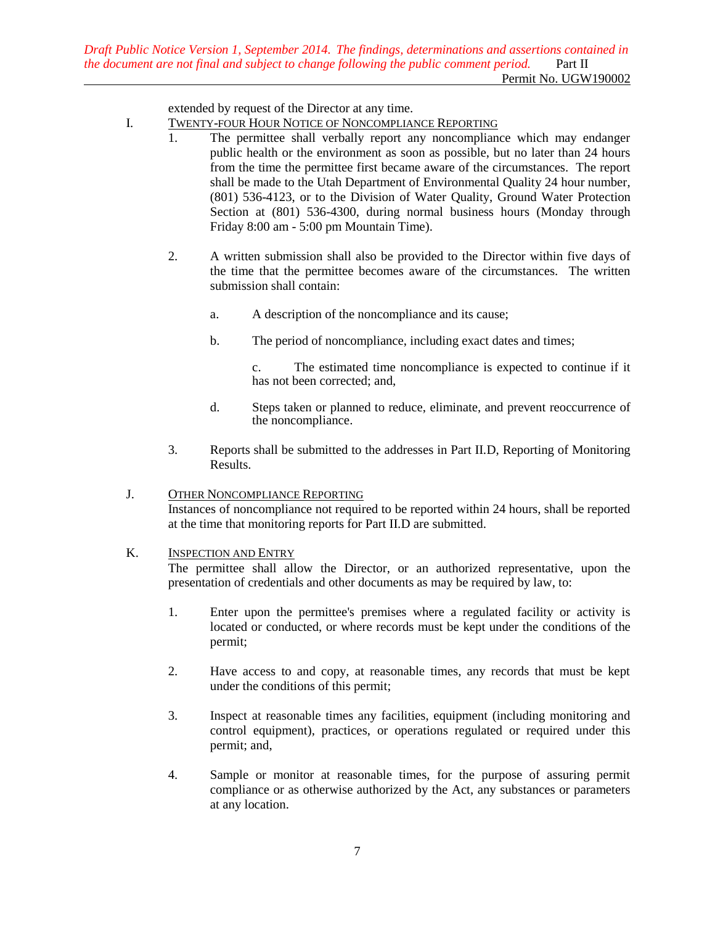extended by request of the Director at any time.

- <span id="page-8-0"></span>I. TWENTY-FOUR HOUR NOTICE OF NONCOMPLIANCE REPORTING
	- 1. The permittee shall verbally report any noncompliance which may endanger public health or the environment as soon as possible, but no later than 24 hours from the time the permittee first became aware of the circumstances. The report shall be made to the Utah Department of Environmental Quality 24 hour number, (801) 536-4123, or to the Division of Water Quality, Ground Water Protection Section at (801) 536-4300, during normal business hours (Monday through Friday 8:00 am - 5:00 pm Mountain Time).
	- 2. A written submission shall also be provided to the Director within five days of the time that the permittee becomes aware of the circumstances. The written submission shall contain:
		- a. A description of the noncompliance and its cause;
		- b. The period of noncompliance, including exact dates and times;

c. The estimated time noncompliance is expected to continue if it has not been corrected; and,

- d. Steps taken or planned to reduce, eliminate, and prevent reoccurrence of the noncompliance.
- 3. Reports shall be submitted to the addresses in Part II.D, Reporting of Monitoring Results.

### <span id="page-8-1"></span>J. **OTHER NONCOMPLIANCE REPORTING**

Instances of noncompliance not required to be reported within 24 hours, shall be reported at the time that monitoring reports for Part II.D are submitted.

### <span id="page-8-2"></span>K. INSPECTION AND ENTRY

The permittee shall allow the Director, or an authorized representative, upon the presentation of credentials and other documents as may be required by law, to:

- 1. Enter upon the permittee's premises where a regulated facility or activity is located or conducted, or where records must be kept under the conditions of the permit;
- 2. Have access to and copy, at reasonable times, any records that must be kept under the conditions of this permit;
- 3. Inspect at reasonable times any facilities, equipment (including monitoring and control equipment), practices, or operations regulated or required under this permit; and,
- 4. Sample or monitor at reasonable times, for the purpose of assuring permit compliance or as otherwise authorized by the Act, any substances or parameters at any location.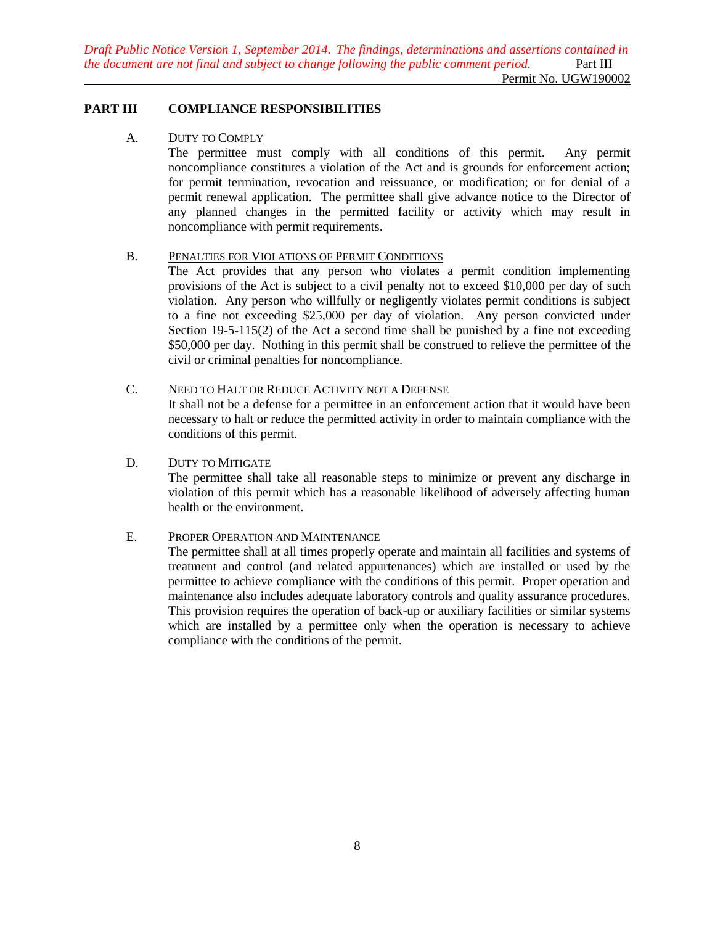*Draft Public Notice Version 1, September 2014. The findings, determinations and assertions contained in the document are not final and subject to change following the public comment period.* Part III Permit No. UGW190002

### <span id="page-9-1"></span><span id="page-9-0"></span>**PART III COMPLIANCE RESPONSIBILITIES**

#### A. DUTY TO COMPLY

The permittee must comply with all conditions of this permit. Any permit noncompliance constitutes a violation of the Act and is grounds for enforcement action; for permit termination, revocation and reissuance, or modification; or for denial of a permit renewal application. The permittee shall give advance notice to the Director of any planned changes in the permitted facility or activity which may result in noncompliance with permit requirements.

#### <span id="page-9-2"></span>B. PENALTIES FOR VIOLATIONS OF PERMIT CONDITIONS

The Act provides that any person who violates a permit condition implementing provisions of the Act is subject to a civil penalty not to exceed \$10,000 per day of such violation. Any person who willfully or negligently violates permit conditions is subject to a fine not exceeding \$25,000 per day of violation. Any person convicted under Section 19-5-115(2) of the Act a second time shall be punished by a fine not exceeding \$50,000 per day. Nothing in this permit shall be construed to relieve the permittee of the civil or criminal penalties for noncompliance.

## <span id="page-9-3"></span>C. NEED TO HALT OR REDUCE ACTIVITY NOT A DEFENSE

It shall not be a defense for a permittee in an enforcement action that it would have been necessary to halt or reduce the permitted activity in order to maintain compliance with the conditions of this permit.

#### <span id="page-9-4"></span>D. DUTY TO MITIGATE

The permittee shall take all reasonable steps to minimize or prevent any discharge in violation of this permit which has a reasonable likelihood of adversely affecting human health or the environment.

### <span id="page-9-5"></span>E. PROPER OPERATION AND MAINTENANCE

The permittee shall at all times properly operate and maintain all facilities and systems of treatment and control (and related appurtenances) which are installed or used by the permittee to achieve compliance with the conditions of this permit. Proper operation and maintenance also includes adequate laboratory controls and quality assurance procedures. This provision requires the operation of back-up or auxiliary facilities or similar systems which are installed by a permittee only when the operation is necessary to achieve compliance with the conditions of the permit.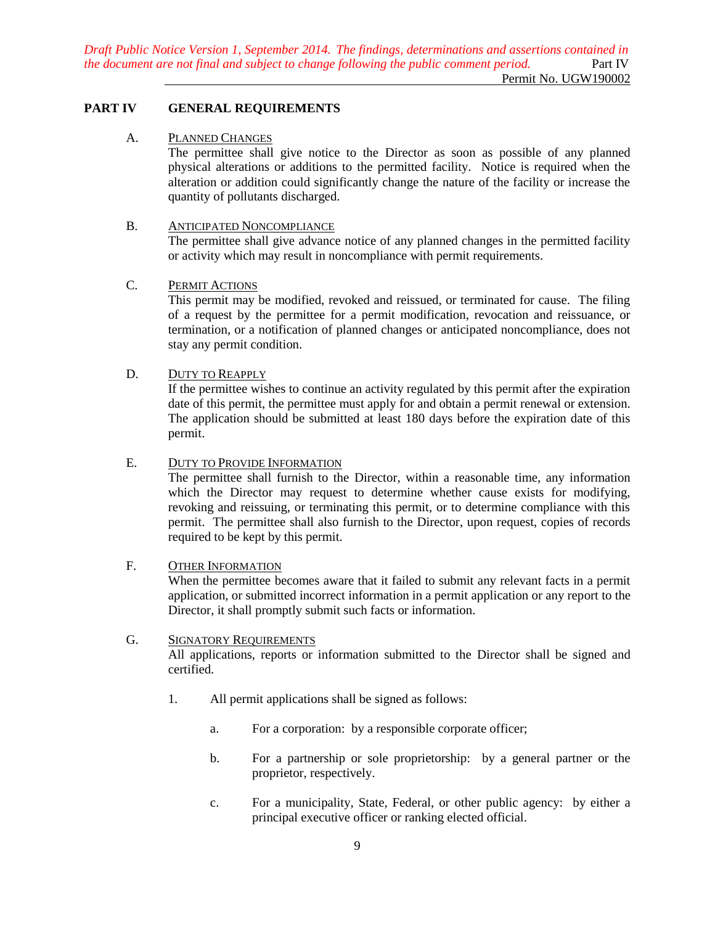*Draft Public Notice Version 1, September 2014. The findings, determinations and assertions contained in the document are not final and subject to change following the public comment period.* Part IV Permit No. UGW190002

#### <span id="page-10-1"></span><span id="page-10-0"></span>**PART IV GENERAL REQUIREMENTS**

#### A. PLANNED CHANGES

The permittee shall give notice to the Director as soon as possible of any planned physical alterations or additions to the permitted facility. Notice is required when the alteration or addition could significantly change the nature of the facility or increase the quantity of pollutants discharged.

#### <span id="page-10-2"></span>B. ANTICIPATED NONCOMPLIANCE

The permittee shall give advance notice of any planned changes in the permitted facility or activity which may result in noncompliance with permit requirements.

#### <span id="page-10-3"></span>C. PERMIT ACTIONS

This permit may be modified, revoked and reissued, or terminated for cause. The filing of a request by the permittee for a permit modification, revocation and reissuance, or termination, or a notification of planned changes or anticipated noncompliance, does not stay any permit condition.

### <span id="page-10-4"></span>D. DUTY TO REAPPLY

If the permittee wishes to continue an activity regulated by this permit after the expiration date of this permit, the permittee must apply for and obtain a permit renewal or extension. The application should be submitted at least 180 days before the expiration date of this permit.

#### <span id="page-10-5"></span>E. DUTY TO PROVIDE INFORMATION

The permittee shall furnish to the Director, within a reasonable time, any information which the Director may request to determine whether cause exists for modifying, revoking and reissuing, or terminating this permit, or to determine compliance with this permit. The permittee shall also furnish to the Director, upon request, copies of records required to be kept by this permit.

#### <span id="page-10-6"></span>F. OTHER INFORMATION

When the permittee becomes aware that it failed to submit any relevant facts in a permit application, or submitted incorrect information in a permit application or any report to the Director, it shall promptly submit such facts or information.

#### <span id="page-10-7"></span>G. SIGNATORY REQUIREMENTS

All applications, reports or information submitted to the Director shall be signed and certified.

- 1. All permit applications shall be signed as follows:
	- a. For a corporation: by a responsible corporate officer;
	- b. For a partnership or sole proprietorship: by a general partner or the proprietor, respectively.
	- c. For a municipality, State, Federal, or other public agency: by either a principal executive officer or ranking elected official.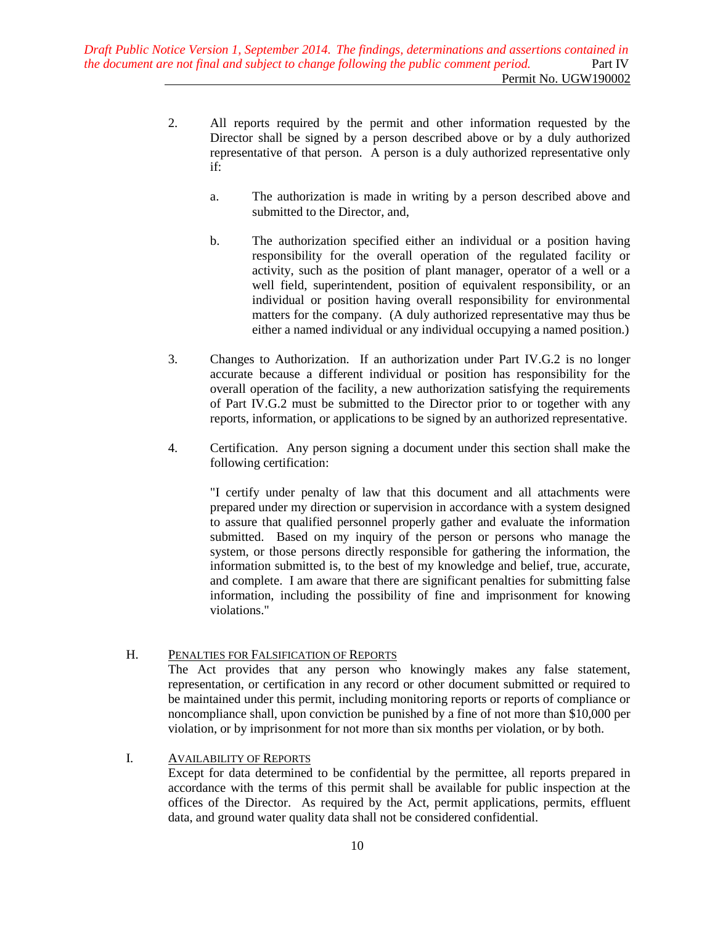- 2. All reports required by the permit and other information requested by the Director shall be signed by a person described above or by a duly authorized representative of that person. A person is a duly authorized representative only if:
	- a. The authorization is made in writing by a person described above and submitted to the Director, and,
	- b. The authorization specified either an individual or a position having responsibility for the overall operation of the regulated facility or activity, such as the position of plant manager, operator of a well or a well field, superintendent, position of equivalent responsibility, or an individual or position having overall responsibility for environmental matters for the company. (A duly authorized representative may thus be either a named individual or any individual occupying a named position.)
- 3. Changes to Authorization. If an authorization under Part IV.G.2 is no longer accurate because a different individual or position has responsibility for the overall operation of the facility, a new authorization satisfying the requirements of Part IV.G.2 must be submitted to the Director prior to or together with any reports, information, or applications to be signed by an authorized representative.
- 4. Certification. Any person signing a document under this section shall make the following certification:

"I certify under penalty of law that this document and all attachments were prepared under my direction or supervision in accordance with a system designed to assure that qualified personnel properly gather and evaluate the information submitted. Based on my inquiry of the person or persons who manage the system, or those persons directly responsible for gathering the information, the information submitted is, to the best of my knowledge and belief, true, accurate, and complete. I am aware that there are significant penalties for submitting false information, including the possibility of fine and imprisonment for knowing violations."

### <span id="page-11-0"></span>H. PENALTIES FOR FALSIFICATION OF REPORTS

The Act provides that any person who knowingly makes any false statement, representation, or certification in any record or other document submitted or required to be maintained under this permit, including monitoring reports or reports of compliance or noncompliance shall, upon conviction be punished by a fine of not more than \$10,000 per violation, or by imprisonment for not more than six months per violation, or by both.

### <span id="page-11-1"></span>I. AVAILABILITY OF REPORTS

Except for data determined to be confidential by the permittee, all reports prepared in accordance with the terms of this permit shall be available for public inspection at the offices of the Director. As required by the Act, permit applications, permits, effluent data, and ground water quality data shall not be considered confidential.